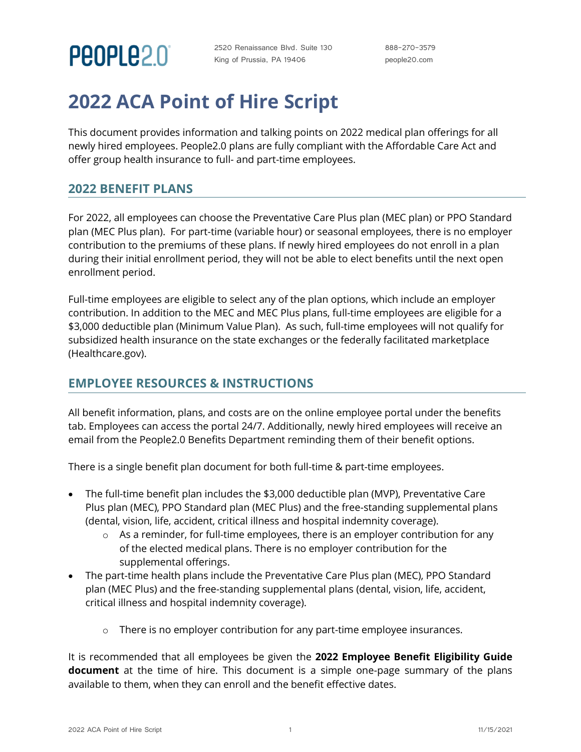

2520 Renaissance Blvd. Suite 130 King of Prussia, PA 19406

888-270-3579 people20.com

# **2022 ACA Point of Hire Script**

This document provides information and talking points on 2022 medical plan offerings for all newly hired employees. People2.0 plans are fully compliant with the Affordable Care Act and offer group health insurance to full- and part-time employees.

#### **2022 BENEFIT PLANS**

For 2022, all employees can choose the Preventative Care Plus plan (MEC plan) or PPO Standard plan (MEC Plus plan). For part-time (variable hour) or seasonal employees, there is no employer contribution to the premiums of these plans. If newly hired employees do not enroll in a plan during their initial enrollment period, they will not be able to elect benefits until the next open enrollment period.

Full-time employees are eligible to select any of the plan options, which include an employer contribution. In addition to the MEC and MEC Plus plans, full-time employees are eligible for a \$3,000 deductible plan (Minimum Value Plan). As such, full-time employees will not qualify for subsidized health insurance on the state exchanges or the federally facilitated marketplace (Healthcare.gov).

### **EMPLOYEE RESOURCES & INSTRUCTIONS**

All benefit information, plans, and costs are on the online employee portal under the benefits tab. Employees can access the portal 24/7. Additionally, newly hired employees will receive an email from the People2.0 Benefits Department reminding them of their benefit options.

There is a single benefit plan document for both full-time & part-time employees.

- The full-time benefit plan includes the \$3,000 deductible plan (MVP), Preventative Care Plus plan (MEC), PPO Standard plan (MEC Plus) and the free-standing supplemental plans (dental, vision, life, accident, critical illness and hospital indemnity coverage).
	- o As a reminder, for full-time employees, there is an employer contribution for any of the elected medical plans. There is no employer contribution for the supplemental offerings.
- The part-time health plans include the Preventative Care Plus plan (MEC), PPO Standard plan (MEC Plus) and the free-standing supplemental plans (dental, vision, life, accident, critical illness and hospital indemnity coverage).
	- $\circ$  There is no employer contribution for any part-time employee insurances.

It is recommended that all employees be given the **2022 Employee Benefit Eligibility Guide document** at the time of hire. This document is a simple one-page summary of the plans available to them, when they can enroll and the benefit effective dates.